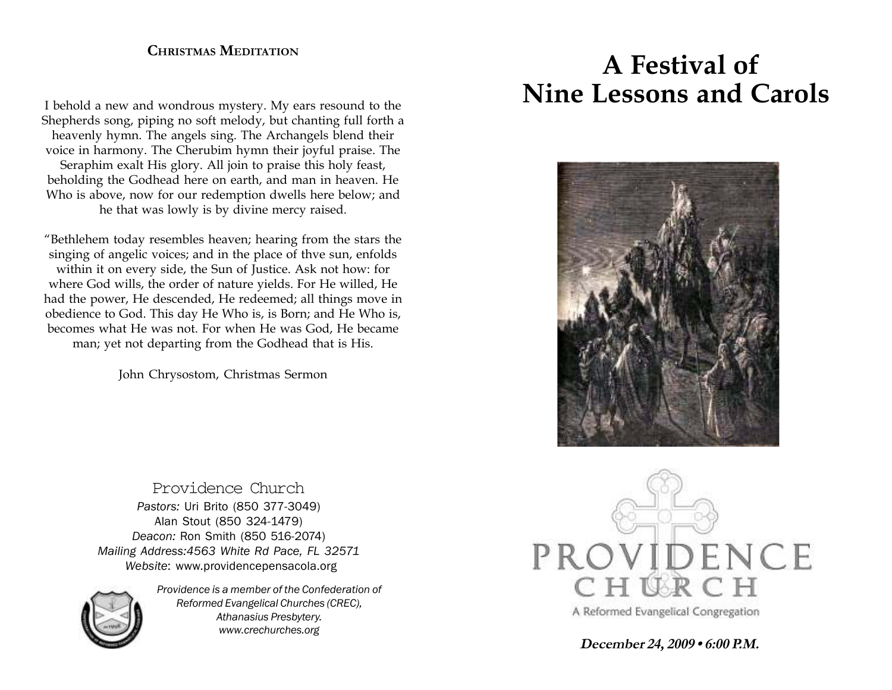### **CHRISTMAS MEDITATION**

I behold a new and wondrous mystery. My ears resound to the Shepherds song, piping no soft melody, but chanting full forth a heavenly hymn. The angels sing. The Archangels blend their voice in harmony. The Cherubim hymn their joyful praise. The Seraphim exalt His glory. All join to praise this holy feast, beholding the Godhead here on earth, and man in heaven. He Who is above, now for our redemption dwells here below; and he that was lowly is by divine mercy raised.

"Bethlehem today resembles heaven; hearing from the stars the singing of angelic voices; and in the place of thve sun, enfolds within it on every side, the Sun of Justice. Ask not how: for where God wills, the order of nature yields. For He willed, He had the power, He descended, He redeemed; all things move in obedience to God. This day He Who is, is Born; and He Who is, becomes what He was not. For when He was God, He became man; yet not departing from the Godhead that is His.

John Chrysostom, Christmas Sermon

Providence Church *Pastors:* Uri Brito (850 377-3049) Alan Stout (850 324-1479) *Deacon:* Ron Smith (850 516-2074) *Mailing Address:4563 White Rd Pace, FL 32571 Website*: www.providencepensacola.org



*Providence is a member of the Confederation of Reformed Evangelical Churches (CREC), Athanasius Presbytery. www.crechurches.org*

# **A Festival of Nine Lessons and Carols**





**December 24, 2009 • 6:00 P.M.**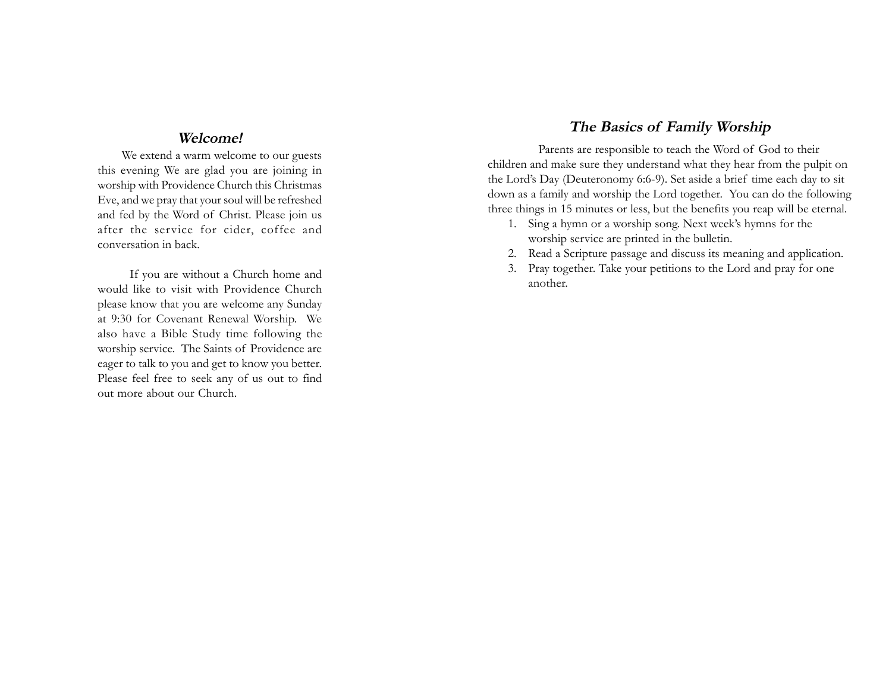#### **Welcome!**

We extend a warm welcome to our guests this evening We are glad you are joining in worship with Providence Church this Christmas Eve, and we pray that your soul will be refreshed and fed by the Word of Christ. Please join us after the service for cider, coffee and conversation in back.

 If you are without a Church home and would like to visit with Providence Church please know that you are welcome any Sunday at 9:30 for Covenant Renewal Worship. We also have a Bible Study time following the worship service. The Saints of Providence are eager to talk to you and get to know you better. Please feel free to seek any of us out to find out more about our Church.

#### **The Basics of Family Worship**

Parents are responsible to teach the Word of God to their children and make sure they understand what they hear from the pulpit on the Lord's Day (Deuteronomy 6:6-9). Set aside a brief time each day to sit down as a family and worship the Lord together. You can do the following three things in 15 minutes or less, but the benefits you reap will be eternal.

- 1. Sing a hymn or a worship song. Next week's hymns for the worship service are printed in the bulletin.
- 2. Read a Scripture passage and discuss its meaning and application.
- 3. Pray together. Take your petitions to the Lord and pray for one another.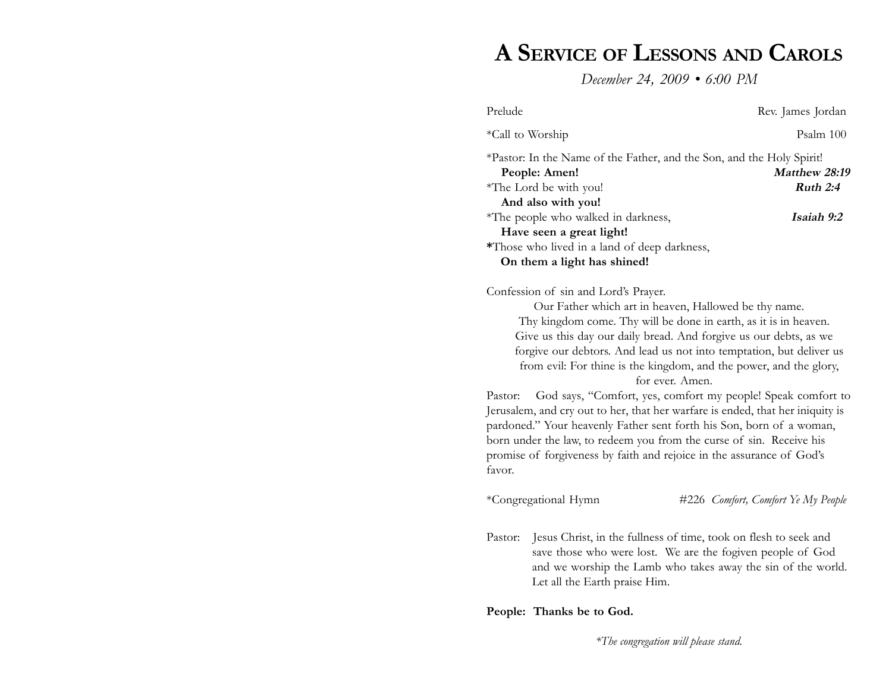# **A SERVICE OF LESSONS AND CAROLS**

*December 24, 2009 • 6:00 PM*

| Prelude                                                                                                                                                                                                                                                                                                                                                                                                                                                                                                                                                                                                                                                                                                                                                                                                 |                                                                                                                                                                                                |  | Rev. James Jordan                  |
|---------------------------------------------------------------------------------------------------------------------------------------------------------------------------------------------------------------------------------------------------------------------------------------------------------------------------------------------------------------------------------------------------------------------------------------------------------------------------------------------------------------------------------------------------------------------------------------------------------------------------------------------------------------------------------------------------------------------------------------------------------------------------------------------------------|------------------------------------------------------------------------------------------------------------------------------------------------------------------------------------------------|--|------------------------------------|
| *Call to Worship                                                                                                                                                                                                                                                                                                                                                                                                                                                                                                                                                                                                                                                                                                                                                                                        |                                                                                                                                                                                                |  | Psalm 100                          |
|                                                                                                                                                                                                                                                                                                                                                                                                                                                                                                                                                                                                                                                                                                                                                                                                         | *Pastor: In the Name of the Father, and the Son, and the Holy Spirit!<br>People: Amen!<br>*The Lord be with you!<br>And also with you!                                                         |  | Matthew 28:19<br>Ruth 2:4          |
|                                                                                                                                                                                                                                                                                                                                                                                                                                                                                                                                                                                                                                                                                                                                                                                                         | *The people who walked in darkness,                                                                                                                                                            |  | Isaiah 9:2                         |
|                                                                                                                                                                                                                                                                                                                                                                                                                                                                                                                                                                                                                                                                                                                                                                                                         | Have seen a great light!<br>*Those who lived in a land of deep darkness,<br>On them a light has shined!                                                                                        |  |                                    |
| Confession of sin and Lord's Prayer.<br>Our Father which art in heaven, Hallowed be thy name.<br>Thy kingdom come. Thy will be done in earth, as it is in heaven.<br>Give us this day our daily bread. And forgive us our debts, as we<br>forgive our debtors. And lead us not into temptation, but deliver us<br>from evil: For thine is the kingdom, and the power, and the glory,<br>for ever. Amen.<br>God says, "Comfort, yes, comfort my people! Speak comfort to<br>Pastor:<br>Jerusalem, and cry out to her, that her warfare is ended, that her iniquity is<br>pardoned." Your heavenly Father sent forth his Son, born of a woman,<br>born under the law, to redeem you from the curse of sin. Receive his<br>promise of forgiveness by faith and rejoice in the assurance of God's<br>favor. |                                                                                                                                                                                                |  |                                    |
|                                                                                                                                                                                                                                                                                                                                                                                                                                                                                                                                                                                                                                                                                                                                                                                                         | *Congregational Hymn                                                                                                                                                                           |  | #226 Comfort, Comfort Ye My People |
| Pastor:                                                                                                                                                                                                                                                                                                                                                                                                                                                                                                                                                                                                                                                                                                                                                                                                 | Jesus Christ, in the fullness of time, took on flesh to seek and<br>save those who were lost. We are the fogiven people of God<br>and we worship the Lamb who takes away the sin of the world. |  |                                    |

#### **People: Thanks be to God.**

Let all the Earth praise Him.

*\*The congregation will please stand.*